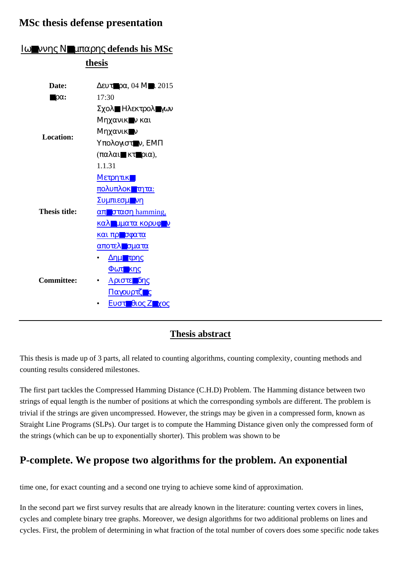## **MSc thesis defense presentation**

|                              | thesis                                                                                                                              |
|------------------------------|-------------------------------------------------------------------------------------------------------------------------------------|
| Date:                        | $Δ$ ευτ $\neg pα$ , 04 Μ $\neg$ 1 2015                                                                                              |
| $\blacksquare \rho \alpha$ : | 17:30                                                                                                                               |
| <b>Location:</b>             | Σχολ■ Ηλεκτρολ■γων                                                                                                                  |
|                              | Μηχανικ■ν και                                                                                                                       |
|                              | Μηχανικ■ν                                                                                                                           |
|                              | Υπολογιστον, ΕΜΠ                                                                                                                    |
|                              | $(\pi \alpha \lambda \alpha \mathbf{I} \blacksquare \kappa \tau \blacksquare \rho \iota \alpha),$                                   |
|                              | 1.1.31                                                                                                                              |
| <b>Thesis title:</b>         | Μετρητικ                                                                                                                            |
|                              | πολυπλοκ <b>ητ</b> ητα:                                                                                                             |
|                              | Συμπιεσμονη                                                                                                                         |
|                              | $\alpha$ <sup>T</sup> $\sigma$ <sup>T</sup> $\alpha$ <sup>T</sup> $\alpha$ <sup>T</sup> $\alpha$ <sup>T</sup> $\alpha$ <sup>T</sup> |
|                              | καλ μματα κορυφ <i>ν</i>                                                                                                            |
|                              | και πρ <b>ισ</b> φατα                                                                                                               |
|                              | αποτελισματα                                                                                                                        |
| <b>Committee:</b>            | Δημετρης                                                                                                                            |
|                              | <b>Φωτ</b> κης                                                                                                                      |
|                              | <u>Αριστε δης</u><br>$\bullet$                                                                                                      |
|                              | Παγουρτζ <b>ης</b>                                                                                                                  |
|                              | Ευστ θιος Ζ χος                                                                                                                     |

## Ιω■ννης Ν■µπαρης **defends his MSc**

## **Thesis abstract**

This thesis is made up of 3 parts, all related to counting algorithms, counting complexity, counting methods and counting results considered milestones.

The first part tackles the Compressed Hamming Distance (C.H.D) Problem. The Hamming distance between two strings of equal length is the number of positions at which the corresponding symbols are different. The problem is trivial if the strings are given uncompressed. However, the strings may be given in a compressed form, known as Straight Line Programs (SLPs). Our target is to compute the Hamming Distance given only the compressed form of the strings (which can be up to exponentially shorter). This problem was shown to be

## **P-complete. We propose two algorithms for the problem. An exponential**

time one, for exact counting and a second one trying to achieve some kind of approximation.

In the second part we first survey results that are already known in the literature: counting vertex covers in lines, cycles and complete binary tree graphs. Moreover, we design algorithms for two additional problems on lines and cycles. First, the problem of determining in what fraction of the total number of covers does some specific node takes